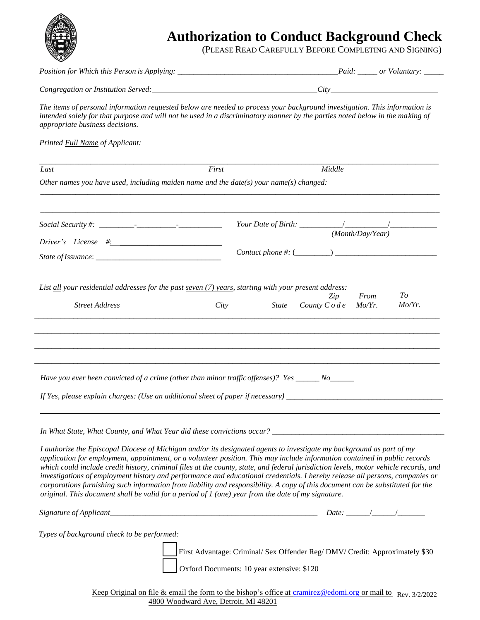

## **Authorization to Conduct Background Check**

(PLEASE READ CAREFULLY BEFORE COMPLETING AND SIGNING)

|                                                                                                                                                                                                                                                                                                                                                                                                                                                                                                                                                                                                                                                                                                                                                                       | Congregation or Institution Served: Congregation or Institution Served:                                                                                                                                                                                    |
|-----------------------------------------------------------------------------------------------------------------------------------------------------------------------------------------------------------------------------------------------------------------------------------------------------------------------------------------------------------------------------------------------------------------------------------------------------------------------------------------------------------------------------------------------------------------------------------------------------------------------------------------------------------------------------------------------------------------------------------------------------------------------|------------------------------------------------------------------------------------------------------------------------------------------------------------------------------------------------------------------------------------------------------------|
| appropriate business decisions.                                                                                                                                                                                                                                                                                                                                                                                                                                                                                                                                                                                                                                                                                                                                       | The items of personal information requested below are needed to process your background investigation. This information is<br>intended solely for that purpose and will not be used in a discriminatory manner by the parties noted below in the making of |
| Printed Full Name of Applicant:                                                                                                                                                                                                                                                                                                                                                                                                                                                                                                                                                                                                                                                                                                                                       |                                                                                                                                                                                                                                                            |
| First<br>Last                                                                                                                                                                                                                                                                                                                                                                                                                                                                                                                                                                                                                                                                                                                                                         | Middle                                                                                                                                                                                                                                                     |
| Other names you have used, including maiden name and the date(s) your name(s) changed:                                                                                                                                                                                                                                                                                                                                                                                                                                                                                                                                                                                                                                                                                |                                                                                                                                                                                                                                                            |
|                                                                                                                                                                                                                                                                                                                                                                                                                                                                                                                                                                                                                                                                                                                                                                       |                                                                                                                                                                                                                                                            |
| Driver's License $\#$ :                                                                                                                                                                                                                                                                                                                                                                                                                                                                                                                                                                                                                                                                                                                                               | (Month/Day/Year)                                                                                                                                                                                                                                           |
|                                                                                                                                                                                                                                                                                                                                                                                                                                                                                                                                                                                                                                                                                                                                                                       | Contact phone #: $(\_ \_ \_ \_ \_ \_ \_ \_ \_ \_ \_ \_ \_ \_$                                                                                                                                                                                              |
| List $all$ your residential addresses for the past seven $(7)$ years, starting with your present address:<br><b>Street Address</b><br>City                                                                                                                                                                                                                                                                                                                                                                                                                                                                                                                                                                                                                            | To<br>Zip<br>From<br>Mo/Yr.<br><i>State</i><br>County $C \circ de$<br>$Mo/Yr$ .                                                                                                                                                                            |
| Have you ever been convicted of a crime (other than minor traffic offenses)? Yes ______ No______<br>If Yes, please explain charges: (Use an additional sheet of paper if necessary) ______________________________                                                                                                                                                                                                                                                                                                                                                                                                                                                                                                                                                    |                                                                                                                                                                                                                                                            |
| I authorize the Episcopal Diocese of Michigan and/or its designated agents to investigate my background as part of my<br>application for employment, appointment, or a volunteer position. This may include information contained in public records<br>which could include credit history, criminal files at the county, state, and federal jurisdiction levels, motor vehicle records, and<br>investigations of employment history and performance and educational credentials. I hereby release all persons, companies or<br>corporations furnishing such information from liability and responsibility. A copy of this document can be substituted for the<br>original. This document shall be valid for a period of $1$ (one) year from the date of my signature. |                                                                                                                                                                                                                                                            |
|                                                                                                                                                                                                                                                                                                                                                                                                                                                                                                                                                                                                                                                                                                                                                                       |                                                                                                                                                                                                                                                            |
| Types of background check to be performed:<br>First Advantage: Criminal/ Sex Offender Reg/ DMV/ Credit: Approximately \$30<br>Oxford Documents: 10 year extensive: \$120                                                                                                                                                                                                                                                                                                                                                                                                                                                                                                                                                                                              |                                                                                                                                                                                                                                                            |

Keep Original on file & email the form to the bishop's office at [cramirez@edomi.org](mailto:cramirez@edomi.org) or mail to Rev. 3/2/2022 4800 Woodward Ave, Detroit, MI 48201